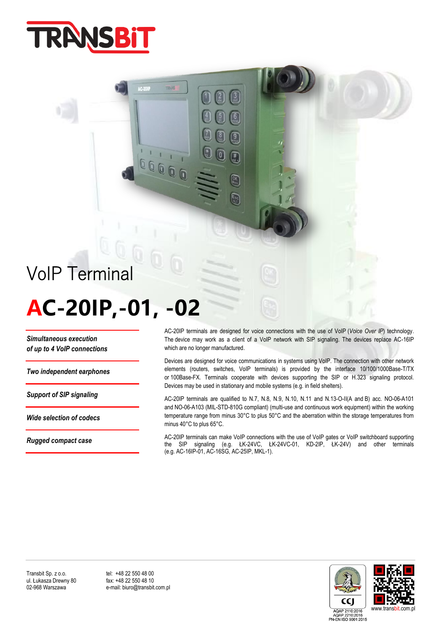

## VoIP Terminal

# **AC-20IP,-01, -02**

accoo

*Simultaneous execution of up to 4 VoIP connections*

*Two independent earphones*

*Support of SIP signaling*

*Wide selection of codecs*

*Rugged compact case*

AC-20IP terminals are designed for voice connections with the use of VoIP (*Voice Over IP*) technology. The device may work as a client of a VoIP network with SIP signaling. The devices replace AC-16IP which are no longer manufactured.

Devices are designed for voice communications in systems using VoIP. The connection with other network elements (routers, switches, VoIP terminals) is provided by the interface 10/100/1000Base-T/TX or 100Base-FX. Terminals cooperate with devices supporting the SIP or H.323 signaling protocol. Devices may be used in stationary and mobile systems (e.g. in field shelters).

AC-20IP terminals are qualified to N.7, N.8, N.9, N.10, N.11 and N.13-O-II(A and B) acc. NO-06-A101 and NO-06-A103 (MIL-STD-810G compliant) (multi-use and continuous work equipment) within the working temperature range from minus 30°C to plus 50°C and the aberration within the storage temperatures from minus 40°C to plus 65°C.

AC-20IP terminals can make VoIP connections with the use of VoIP gates or VoIP switchboard supporting the SIP signaling (e.g. ŁK-24VC, ŁK-24VC-01, KD-2IP, ŁK-24V) and other terminals (e.g. AC-16IP-01, AC-16SG, AC-25IP, MKL-1).



e-mail: biuro@transbit.com.pl